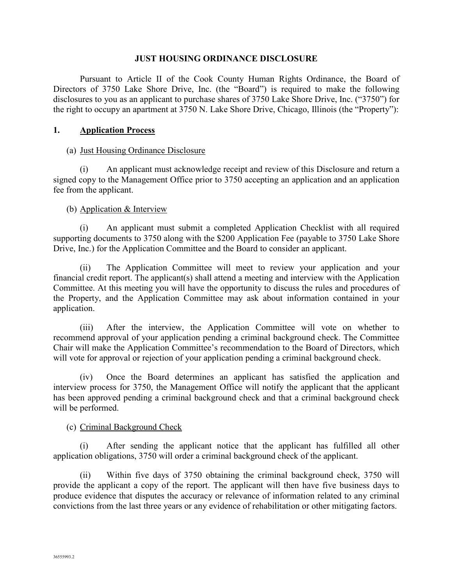#### **JUST HOUSING ORDINANCE DISCLOSURE**

 Pursuant to Article II of the Cook County Human Rights Ordinance, the Board of Directors of 3750 Lake Shore Drive, Inc. (the "Board") is required to make the following disclosures to you as an applicant to purchase shares of 3750 Lake Shore Drive, Inc. ("3750") for the right to occupy an apartment at 3750 N. Lake Shore Drive, Chicago, Illinois (the "Property"):

#### **1. Application Process**

#### (a) Just Housing Ordinance Disclosure

(i) An applicant must acknowledge receipt and review of this Disclosure and return a signed copy to the Management Office prior to 3750 accepting an application and an application fee from the applicant.

#### (b) Application & Interview

(i) An applicant must submit a completed Application Checklist with all required supporting documents to 3750 along with the \$200 Application Fee (payable to 3750 Lake Shore Drive, Inc.) for the Application Committee and the Board to consider an applicant.

(ii) The Application Committee will meet to review your application and your financial credit report. The applicant(s) shall attend a meeting and interview with the Application Committee. At this meeting you will have the opportunity to discuss the rules and procedures of the Property, and the Application Committee may ask about information contained in your application.

(iii) After the interview, the Application Committee will vote on whether to recommend approval of your application pending a criminal background check. The Committee Chair will make the Application Committee's recommendation to the Board of Directors, which will vote for approval or rejection of your application pending a criminal background check.

(iv) Once the Board determines an applicant has satisfied the application and interview process for 3750, the Management Office will notify the applicant that the applicant has been approved pending a criminal background check and that a criminal background check will be performed.

#### (c) Criminal Background Check

(i) After sending the applicant notice that the applicant has fulfilled all other application obligations, 3750 will order a criminal background check of the applicant.

(ii) Within five days of 3750 obtaining the criminal background check, 3750 will provide the applicant a copy of the report. The applicant will then have five business days to produce evidence that disputes the accuracy or relevance of information related to any criminal convictions from the last three years or any evidence of rehabilitation or other mitigating factors.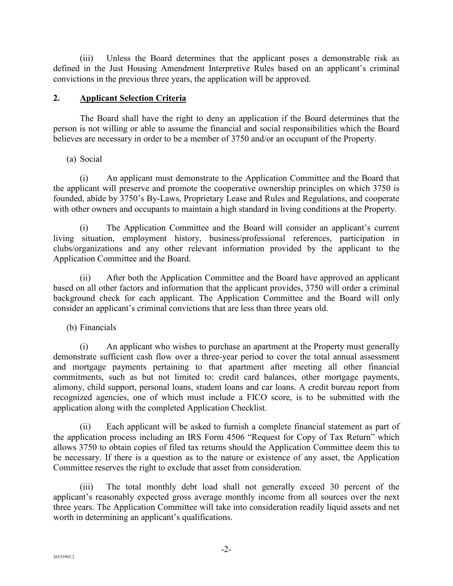(iii) Unless the Board determines that the applicant poses a demonstrable risk as defined in the Just Housing Amendment Interpretive Rules based on an applicant's criminal convictions in the previous three years, the application will be approved.

# **2. Applicant Selection Criteria**

The Board shall have the right to deny an application if the Board determines that the person is not willing or able to assume the financial and social responsibilities which the Board believes are necessary in order to be a member of 3750 and/or an occupant of the Property.

(a) Social

(i) An applicant must demonstrate to the Application Committee and the Board that the applicant will preserve and promote the cooperative ownership principles on which 3750 is founded, abide by 3750's By-Laws, Proprietary Lease and Rules and Regulations, and cooperate with other owners and occupants to maintain a high standard in living conditions at the Property.

(i) The Application Committee and the Board will consider an applicant's current living situation, employment history, business/professional references, participation in clubs/organizations and any other relevant information provided by the applicant to the Application Committee and the Board.

(ii) After both the Application Committee and the Board have approved an applicant based on all other factors and information that the applicant provides, 3750 will order a criminal background check for each applicant. The Application Committee and the Board will only consider an applicant's criminal convictions that are less than three years old.

(b) Financials

(i) An applicant who wishes to purchase an apartment at the Property must generally demonstrate sufficient cash flow over a three-year period to cover the total annual assessment and mortgage payments pertaining to that apartment after meeting all other financial commitments, such as but not limited to: credit card balances, other mortgage payments, alimony, child support, personal loans, student loans and car loans. A credit bureau report from recognized agencies, one of which must include a FICO score, is to be submitted with the application along with the completed Application Checklist.

(ii) Each applicant will be asked to furnish a complete financial statement as part of the application process including an IRS Form 4506 "Request for Copy of Tax Return" which allows 3750 to obtain copies of filed tax returns should the Application Committee deem this to be necessary. If there is a question as to the nature or existence of any asset, the Application Committee reserves the right to exclude that asset from consideration.

(iii) The total monthly debt load shall not generally exceed 30 percent of the applicant's reasonably expected gross average monthly income from all sources over the next three years. The Application Committee will take into consideration readily liquid assets and net worth in determining an applicant's qualifications.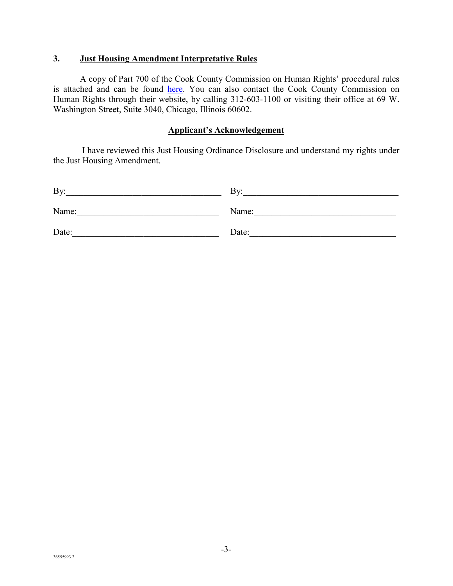## **3. Just Housing Amendment Interpretative Rules**

A copy of Part 700 of the Cook County Commission on Human Rights' procedural rules is attached and can be found here. You can also contact the Cook County Commission on Human Rights through their website, by calling 312-603-1100 or visiting their office at 69 W. Washington Street, Suite 3040, Chicago, Illinois 60602.

### **Applicant's Acknowledgement**

 I have reviewed this Just Housing Ordinance Disclosure and understand my rights under the Just Housing Amendment.

| By:   | Bv:   |
|-------|-------|
| Name: | Name: |
| Date: | Date: |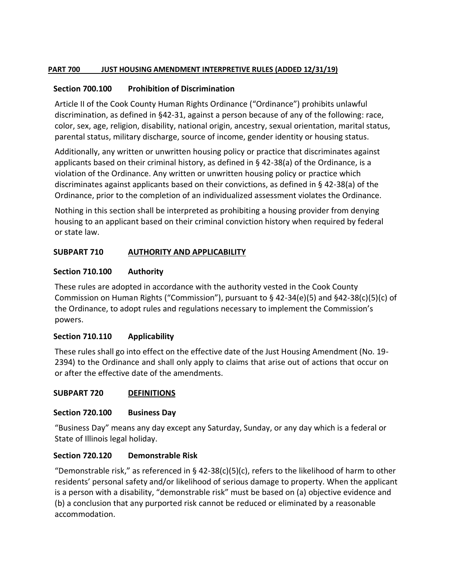#### **PART 700 JUST HOUSING AMENDMENT INTERPRETIVE RULES (ADDED 12/31/19)**

### **Section 700.100 Prohibition of Discrimination**

Article II of the Cook County Human Rights Ordinance ("Ordinance") prohibits unlawful discrimination, as defined in §42-31, against a person because of any of the following: race, color, sex, age, religion, disability, national origin, ancestry, sexual orientation, marital status, parental status, military discharge, source of income, gender identity or housing status.

Additionally, any written or unwritten housing policy or practice that discriminates against applicants based on their criminal history, as defined in § 42-38(a) of the Ordinance, is a violation of the Ordinance. Any written or unwritten housing policy or practice which discriminates against applicants based on their convictions, as defined in § 42-38(a) of the Ordinance, prior to the completion of an individualized assessment violates the Ordinance.

Nothing in this section shall be interpreted as prohibiting a housing provider from denying housing to an applicant based on their criminal conviction history when required by federal or state law.

## **SUBPART 710 AUTHORITY AND APPLICABILITY**

### **Section 710.100 Authority**

These rules are adopted in accordance with the authority vested in the Cook County Commission on Human Rights ("Commission"), pursuant to  $\S$  42-34(e)(5) and  $\S$ 42-38(c)(5)(c) of the Ordinance, to adopt rules and regulations necessary to implement the Commission's powers.

## **Section 710.110 Applicability**

These rules shall go into effect on the effective date of the Just Housing Amendment (No. 19- 2394) to the Ordinance and shall only apply to claims that arise out of actions that occur on or after the effective date of the amendments.

## **SUBPART 720 DEFINITIONS**

## **Section 720.100 Business Day**

"Business Day" means any day except any Saturday, Sunday, or any day which is a federal or State of Illinois legal holiday.

## **Section 720.120 Demonstrable Risk**

"Demonstrable risk," as referenced in § 42-38(c)(5)(c), refers to the likelihood of harm to other residents' personal safety and/or likelihood of serious damage to property. When the applicant is a person with a disability, "demonstrable risk" must be based on (a) objective evidence and (b) a conclusion that any purported risk cannot be reduced or eliminated by a reasonable accommodation.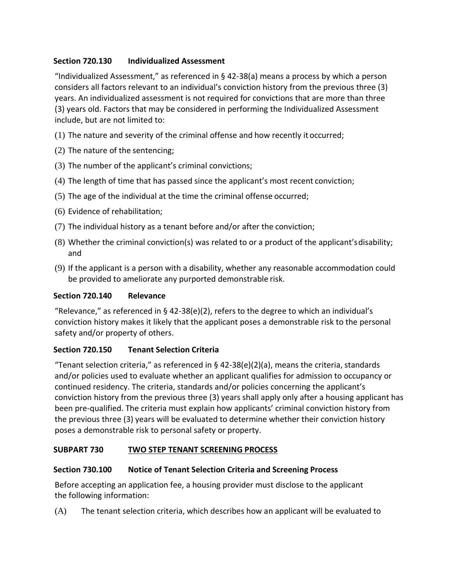# **Section 720.130 Individualized Assessment**

"Individualized Assessment," as referenced in § 42-38(a) means a process by which a person considers all factors relevant to an individual's conviction history from the previous three (3) years. An individualized assessment is not required for convictions that are more than three (3) years old. Factors that may be considered in performing the Individualized Assessment include, but are not limited to:

- (1) The nature and severity of the criminal offense and how recently it occurred;
- (2) The nature of the sentencing;
- (3) The number of the applicant's criminal convictions;
- (4) The length of time that has passed since the applicant's most recent conviction;
- (5) The age of the individual at the time the criminal offense occurred;
- (6) Evidence of rehabilitation;
- (7) The individual history as a tenant before and/or after the conviction;
- (8) Whether the criminal conviction(s) was related to or a product of the applicant'sdisability; and
- (9) If the applicant is a person with a disability, whether any reasonable accommodation could be provided to ameliorate any purported demonstrable risk.

## **Section 720.140 Relevance**

"Relevance," as referenced in § 42-38(e)(2), refers to the degree to which an individual's conviction history makes it likely that the applicant poses a demonstrable risk to the personal safety and/or property of others.

## **Section 720.150 Tenant Selection Criteria**

"Tenant selection criteria," as referenced in § 42-38(e)(2)(a), means the criteria, standards and/or policies used to evaluate whether an applicant qualifies for admission to occupancy or continued residency. The criteria, standards and/or policies concerning the applicant's conviction history from the previous three (3) years shall apply only after a housing applicant has been pre-qualified. The criteria must explain how applicants' criminal conviction history from the previous three (3) years will be evaluated to determine whether their conviction history poses a demonstrable risk to personal safety or property.

## **SUBPART 730 TWO STEP TENANT SCREENING PROCESS**

## **Section 730.100 Notice of Tenant Selection Criteria and Screening Process**

Before accepting an application fee, a housing provider must disclose to the applicant the following information:

(A) The tenant selection criteria, which describes how an applicant will be evaluated to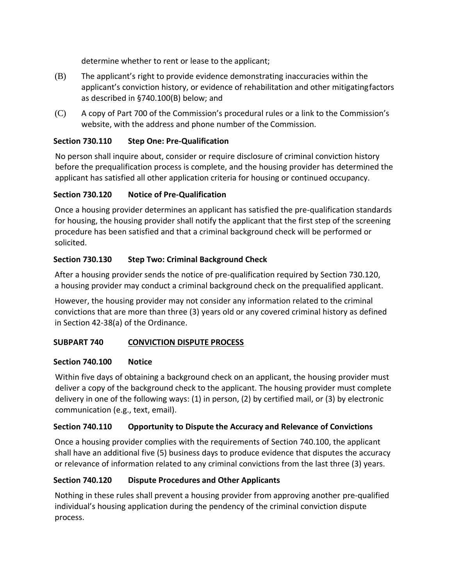determine whether to rent or lease to the applicant;

- (B) The applicant's right to provide evidence demonstrating inaccuracies within the applicant's conviction history, or evidence of rehabilitation and other mitigatingfactors as described in §740.100(B) below; and
- (C) A copy of Part 700 of the Commission's procedural rules or a link to the Commission's website, with the address and phone number of the Commission.

# **Section 730.110 Step One: Pre-Qualification**

No person shall inquire about, consider or require disclosure of criminal conviction history before the prequalification process is complete, and the housing provider has determined the applicant has satisfied all other application criteria for housing or continued occupancy.

# **Section 730.120 Notice of Pre-Qualification**

Once a housing provider determines an applicant has satisfied the pre-qualification standards for housing, the housing provider shall notify the applicant that the first step of the screening procedure has been satisfied and that a criminal background check will be performed or solicited.

# **Section 730.130 Step Two: Criminal Background Check**

After a housing provider sends the notice of pre-qualification required by Section 730.120, a housing provider may conduct a criminal background check on the prequalified applicant.

However, the housing provider may not consider any information related to the criminal convictions that are more than three (3) years old or any covered criminal history as defined in Section 42-38(a) of the Ordinance.

## **SUBPART 740 CONVICTION DISPUTE PROCESS**

## **Section 740.100 Notice**

Within five days of obtaining a background check on an applicant, the housing provider must deliver a copy of the background check to the applicant. The housing provider must complete delivery in one of the following ways: (1) in person, (2) by certified mail, or (3) by electronic communication (e.g., text, email).

## **Section 740.110 Opportunity to Dispute the Accuracy and Relevance of Convictions**

Once a housing provider complies with the requirements of Section 740.100, the applicant shall have an additional five (5) business days to produce evidence that disputes the accuracy or relevance of information related to any criminal convictions from the last three (3) years.

# **Section 740.120 Dispute Procedures and Other Applicants**

Nothing in these rules shall prevent a housing provider from approving another pre-qualified individual's housing application during the pendency of the criminal conviction dispute process.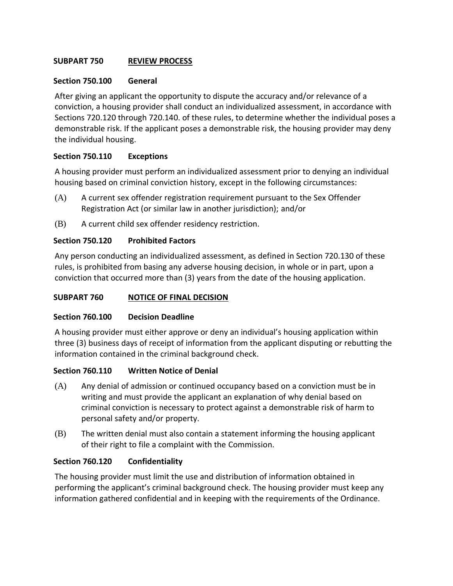### **SUBPART 750 REVIEW PROCESS**

#### **Section 750.100 General**

After giving an applicant the opportunity to dispute the accuracy and/or relevance of a conviction, a housing provider shall conduct an individualized assessment, in accordance with Sections 720.120 through 720.140. of these rules, to determine whether the individual poses a demonstrable risk. If the applicant poses a demonstrable risk, the housing provider may deny the individual housing.

#### **Section 750.110 Exceptions**

A housing provider must perform an individualized assessment prior to denying an individual housing based on criminal conviction history, except in the following circumstances:

- (A) A current sex offender registration requirement pursuant to the Sex Offender Registration Act (or similar law in another jurisdiction); and/or
- (B) A current child sex offender residency restriction.

### **Section 750.120 Prohibited Factors**

Any person conducting an individualized assessment, as defined in Section 720.130 of these rules, is prohibited from basing any adverse housing decision, in whole or in part, upon a conviction that occurred more than (3) years from the date of the housing application.

#### **SUBPART 760 NOTICE OF FINAL DECISION**

#### **Section 760.100 Decision Deadline**

A housing provider must either approve or deny an individual's housing application within three (3) business days of receipt of information from the applicant disputing or rebutting the information contained in the criminal background check.

#### **Section 760.110 Written Notice of Denial**

- (A) Any denial of admission or continued occupancy based on a conviction must be in writing and must provide the applicant an explanation of why denial based on criminal conviction is necessary to protect against a demonstrable risk of harm to personal safety and/or property.
- (B) The written denial must also contain a statement informing the housing applicant of their right to file a complaint with the Commission.

#### **Section 760.120 Confidentiality**

The housing provider must limit the use and distribution of information obtained in performing the applicant's criminal background check. The housing provider must keep any information gathered confidential and in keeping with the requirements of the Ordinance.